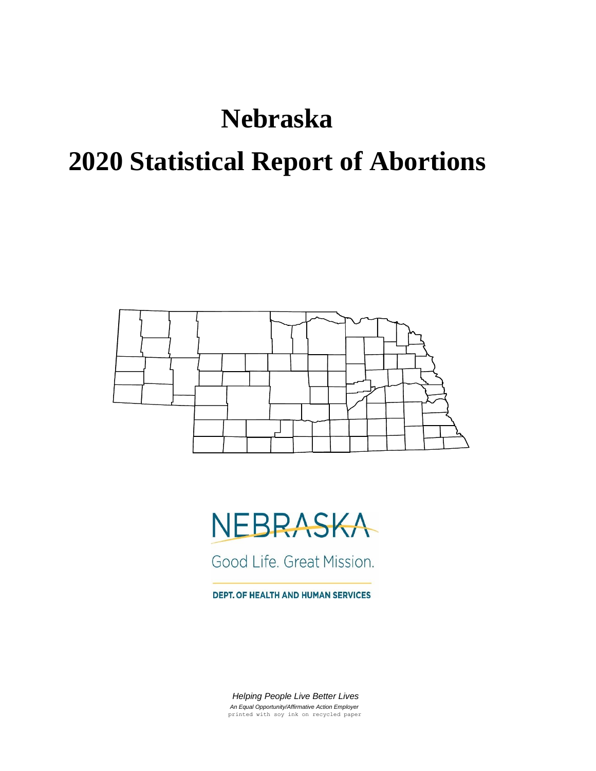# **Nebraska**

# **2020 Statistical Report of Abortions**



# NEBRASKA

Good Life. Great Mission.

DEPT. OF HEALTH AND HUMAN SERVICES

 *Helping People Live Better Lives An Equal Opportunity/Affirmative Action Employer* printed with soy ink on recycled paper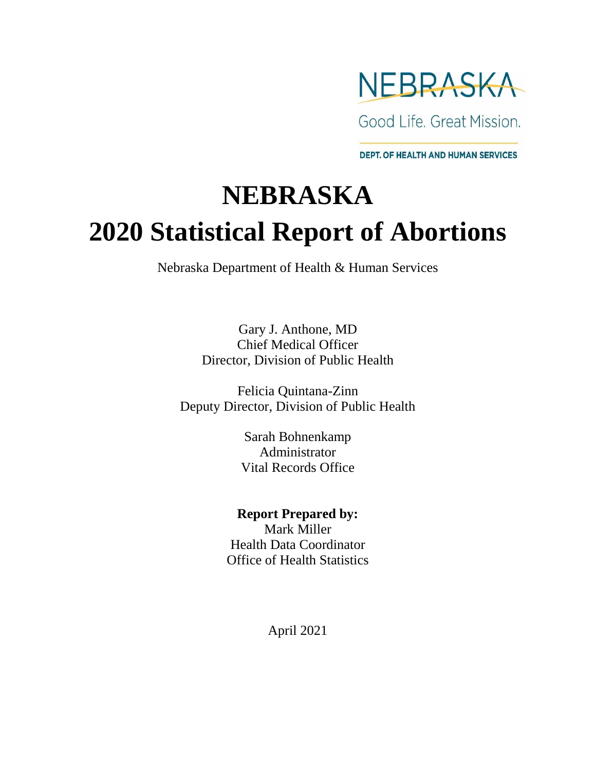

Good Life, Great Mission.

**DEPT. OF HEALTH AND HUMAN SERVICES** 

# **NEBRASKA 2020 Statistical Report of Abortions**

Nebraska Department of Health & Human Services

Gary J. Anthone, MD Chief Medical Officer Director, Division of Public Health

Felicia Quintana-Zinn Deputy Director, Division of Public Health

> Sarah Bohnenkamp Administrator Vital Records Office

#### **Report Prepared by:**

Mark Miller Health Data Coordinator Office of Health Statistics

April 2021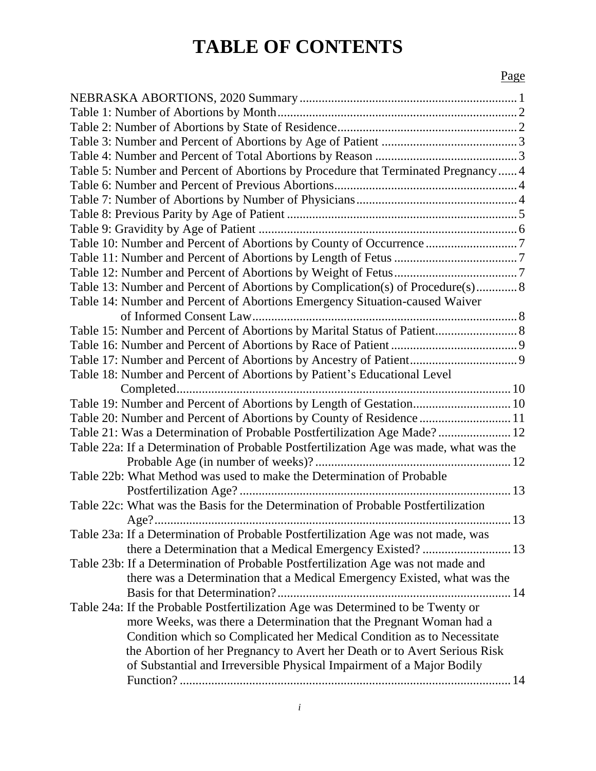## **TABLE OF CONTENTS**

#### Page

| Table 5: Number and Percent of Abortions by Procedure that Terminated Pregnancy 4      |
|----------------------------------------------------------------------------------------|
|                                                                                        |
|                                                                                        |
|                                                                                        |
|                                                                                        |
| Table 10: Number and Percent of Abortions by County of Occurrence 7                    |
|                                                                                        |
|                                                                                        |
| Table 13: Number and Percent of Abortions by Complication(s) of Procedure(s) 8         |
|                                                                                        |
| Table 14: Number and Percent of Abortions Emergency Situation-caused Waiver            |
|                                                                                        |
| Table 15: Number and Percent of Abortions by Marital Status of Patient 8               |
|                                                                                        |
|                                                                                        |
| Table 18: Number and Percent of Abortions by Patient's Educational Level               |
|                                                                                        |
| Table 19: Number and Percent of Abortions by Length of Gestation 10                    |
| Table 20: Number and Percent of Abortions by County of Residence  11                   |
| Table 21: Was a Determination of Probable Postfertilization Age Made? 12               |
| Table 22a: If a Determination of Probable Postfertilization Age was made, what was the |
|                                                                                        |
| Table 22b: What Method was used to make the Determination of Probable                  |
|                                                                                        |
| Table 22c: What was the Basis for the Determination of Probable Postfertilization      |
|                                                                                        |
| Table 23a: If a Determination of Probable Postfertilization Age was not made, was      |
| there a Determination that a Medical Emergency Existed?  13                            |
| Table 23b: If a Determination of Probable Postfertilization Age was not made and       |
| there was a Determination that a Medical Emergency Existed, what was the               |
|                                                                                        |
| Table 24a: If the Probable Postfertilization Age was Determined to be Twenty or        |
| more Weeks, was there a Determination that the Pregnant Woman had a                    |
| Condition which so Complicated her Medical Condition as to Necessitate                 |
| the Abortion of her Pregnancy to Avert her Death or to Avert Serious Risk              |
| of Substantial and Irreversible Physical Impairment of a Major Bodily                  |
|                                                                                        |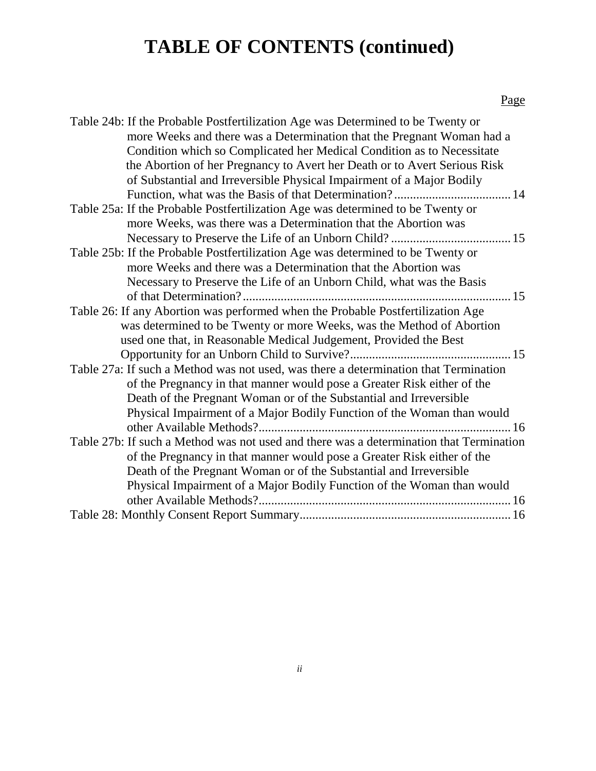# **TABLE OF CONTENTS (continued)**

#### Page

| Table 24b: If the Probable Postfertilization Age was Determined to be Twenty or         |
|-----------------------------------------------------------------------------------------|
| more Weeks and there was a Determination that the Pregnant Woman had a                  |
| Condition which so Complicated her Medical Condition as to Necessitate                  |
| the Abortion of her Pregnancy to Avert her Death or to Avert Serious Risk               |
| of Substantial and Irreversible Physical Impairment of a Major Bodily                   |
|                                                                                         |
| Table 25a: If the Probable Postfertilization Age was determined to be Twenty or         |
| more Weeks, was there was a Determination that the Abortion was                         |
|                                                                                         |
| Table 25b: If the Probable Postfertilization Age was determined to be Twenty or         |
| more Weeks and there was a Determination that the Abortion was                          |
| Necessary to Preserve the Life of an Unborn Child, what was the Basis                   |
|                                                                                         |
| Table 26: If any Abortion was performed when the Probable Postfertilization Age         |
| was determined to be Twenty or more Weeks, was the Method of Abortion                   |
| used one that, in Reasonable Medical Judgement, Provided the Best                       |
|                                                                                         |
| Table 27a: If such a Method was not used, was there a determination that Termination    |
| of the Pregnancy in that manner would pose a Greater Risk either of the                 |
| Death of the Pregnant Woman or of the Substantial and Irreversible                      |
| Physical Impairment of a Major Bodily Function of the Woman than would                  |
|                                                                                         |
| Table 27b: If such a Method was not used and there was a determination that Termination |
| of the Pregnancy in that manner would pose a Greater Risk either of the                 |
| Death of the Pregnant Woman or of the Substantial and Irreversible                      |
| Physical Impairment of a Major Bodily Function of the Woman than would                  |
|                                                                                         |
|                                                                                         |
|                                                                                         |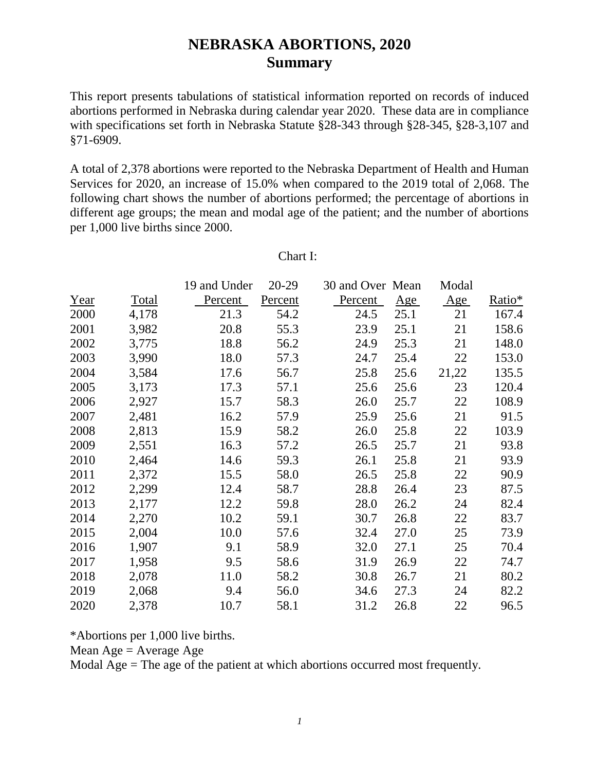#### **NEBRASKA ABORTIONS, 2020 Summary**

This report presents tabulations of statistical information reported on records of induced abortions performed in Nebraska during calendar year 2020. These data are in compliance with specifications set forth in Nebraska Statute §28-343 through §28-345, §28-3,107 and §71-6909.

A total of 2,378 abortions were reported to the Nebraska Department of Health and Human Services for 2020, an increase of 15.0% when compared to the 2019 total of 2,068. The following chart shows the number of abortions performed; the percentage of abortions in different age groups; the mean and modal age of the patient; and the number of abortions per 1,000 live births since 2000.

|      |       | 19 and Under | 20-29   | 30 and Over Mean |      | Modal |                    |
|------|-------|--------------|---------|------------------|------|-------|--------------------|
| Year | Total | Percent      | Percent | Percent          | Age  | Age   | Ratio <sup>*</sup> |
| 2000 | 4,178 | 21.3         | 54.2    | 24.5             | 25.1 | 21    | 167.4              |
| 2001 | 3,982 | 20.8         | 55.3    | 23.9             | 25.1 | 21    | 158.6              |
| 2002 | 3,775 | 18.8         | 56.2    | 24.9             | 25.3 | 21    | 148.0              |
| 2003 | 3,990 | 18.0         | 57.3    | 24.7             | 25.4 | 22    | 153.0              |
| 2004 | 3,584 | 17.6         | 56.7    | 25.8             | 25.6 | 21,22 | 135.5              |
| 2005 | 3,173 | 17.3         | 57.1    | 25.6             | 25.6 | 23    | 120.4              |
| 2006 | 2,927 | 15.7         | 58.3    | 26.0             | 25.7 | 22    | 108.9              |
| 2007 | 2,481 | 16.2         | 57.9    | 25.9             | 25.6 | 21    | 91.5               |
| 2008 | 2,813 | 15.9         | 58.2    | 26.0             | 25.8 | 22    | 103.9              |
| 2009 | 2,551 | 16.3         | 57.2    | 26.5             | 25.7 | 21    | 93.8               |
| 2010 | 2,464 | 14.6         | 59.3    | 26.1             | 25.8 | 21    | 93.9               |
| 2011 | 2,372 | 15.5         | 58.0    | 26.5             | 25.8 | 22    | 90.9               |
| 2012 | 2,299 | 12.4         | 58.7    | 28.8             | 26.4 | 23    | 87.5               |
| 2013 | 2,177 | 12.2         | 59.8    | 28.0             | 26.2 | 24    | 82.4               |
| 2014 | 2,270 | 10.2         | 59.1    | 30.7             | 26.8 | 22    | 83.7               |
| 2015 | 2,004 | 10.0         | 57.6    | 32.4             | 27.0 | 25    | 73.9               |
| 2016 | 1,907 | 9.1          | 58.9    | 32.0             | 27.1 | 25    | 70.4               |
| 2017 | 1,958 | 9.5          | 58.6    | 31.9             | 26.9 | 22    | 74.7               |
| 2018 | 2,078 | 11.0         | 58.2    | 30.8             | 26.7 | 21    | 80.2               |
| 2019 | 2,068 | 9.4          | 56.0    | 34.6             | 27.3 | 24    | 82.2               |
| 2020 | 2,378 | 10.7         | 58.1    | 31.2             | 26.8 | 22    | 96.5               |

#### Chart I:

\*Abortions per 1,000 live births.

Mean  $Age = Average Age$ 

Modal  $Age = The age of the patient at which abortions occurred most frequently.$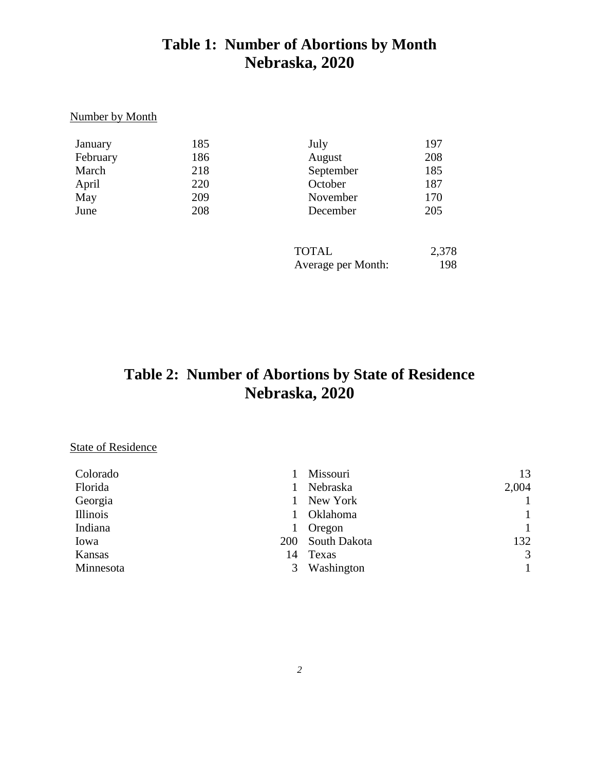#### **Table 1: Number of Abortions by Month Nebraska, 2020**

#### Number by Month

| January  | 185 | July               | 197   |
|----------|-----|--------------------|-------|
| February | 186 | August             | 208   |
| March    | 218 | September          | 185   |
| April    | 220 | October            | 187   |
| May      | 209 | November           | 170   |
| June     | 208 | December           | 205   |
|          |     |                    |       |
|          |     | $T\cap T \wedge I$ | 2.276 |

| <b>TOTAL</b>       | 2,378 |
|--------------------|-------|
| Average per Month: | 198   |

## **Table 2: Number of Abortions by State of Residence Nebraska, 2020**

#### **State of Residence**

| Colorado                | 13<br>Missouri           |
|-------------------------|--------------------------|
| Florida                 | 2,004<br>Nebraska        |
| Georgia<br>$\mathbf{L}$ | $\mathbf{1}$<br>New York |
| Illinois                | $\mathbf{1}$<br>Oklahoma |
| Indiana                 | $\mathbf{1}$<br>Oregon   |
| Iowa<br><b>200</b>      | South Dakota<br>132      |
| Kansas<br>14            | 3<br>Texas               |
| Minnesota<br>3          | Washington               |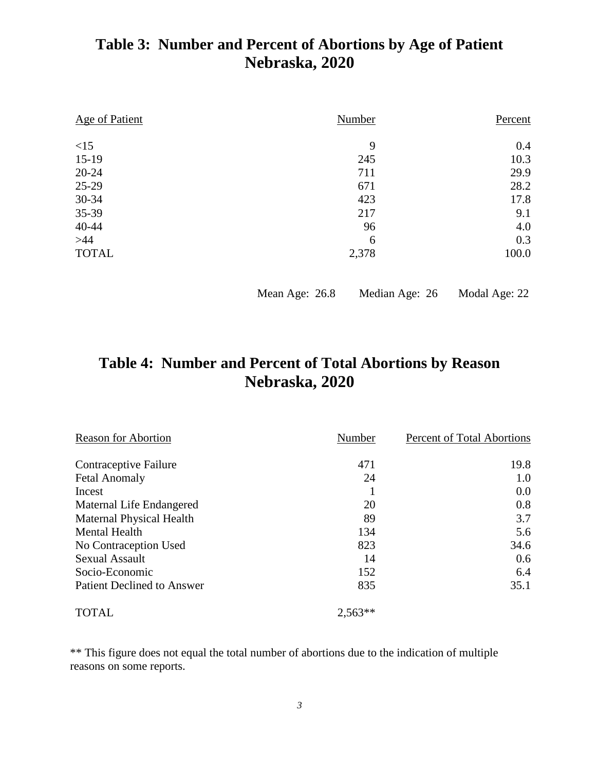### **Table 3: Number and Percent of Abortions by Age of Patient Nebraska, 2020**

| <b>Age of Patient</b> | Number | Percent |  |  |
|-----------------------|--------|---------|--|--|
| <15                   | 9      | 0.4     |  |  |
| $15-19$               | 245    | 10.3    |  |  |
| $20 - 24$             | 711    | 29.9    |  |  |
| 25-29                 | 671    | 28.2    |  |  |
| $30 - 34$             | 423    | 17.8    |  |  |
| 35-39                 | 217    | 9.1     |  |  |
| 40-44                 | 96     | 4.0     |  |  |
| $>44$                 | 6      | 0.3     |  |  |
| <b>TOTAL</b>          | 2,378  | 100.0   |  |  |

Mean Age: 26.8 Median Age: 26 Modal Age: 22

### **Table 4: Number and Percent of Total Abortions by Reason Nebraska, 2020**

| <b>Reason for Abortion</b>        | Number    | Percent of Total Abortions |  |  |
|-----------------------------------|-----------|----------------------------|--|--|
| Contraceptive Failure             | 471       | 19.8                       |  |  |
| <b>Fetal Anomaly</b>              | 24        | 1.0                        |  |  |
| Incest                            |           | 0.0                        |  |  |
| Maternal Life Endangered          | 20        | 0.8                        |  |  |
| <b>Maternal Physical Health</b>   | 89        | 3.7                        |  |  |
| <b>Mental Health</b>              | 134       | 5.6                        |  |  |
| No Contraception Used             | 823       | 34.6                       |  |  |
| <b>Sexual Assault</b>             | 14        | 0.6                        |  |  |
| Socio-Economic                    | 152       | 6.4                        |  |  |
| <b>Patient Declined to Answer</b> | 835       | 35.1                       |  |  |
| <b>TOTAL</b>                      | $2,563**$ |                            |  |  |

\*\* This figure does not equal the total number of abortions due to the indication of multiple reasons on some reports.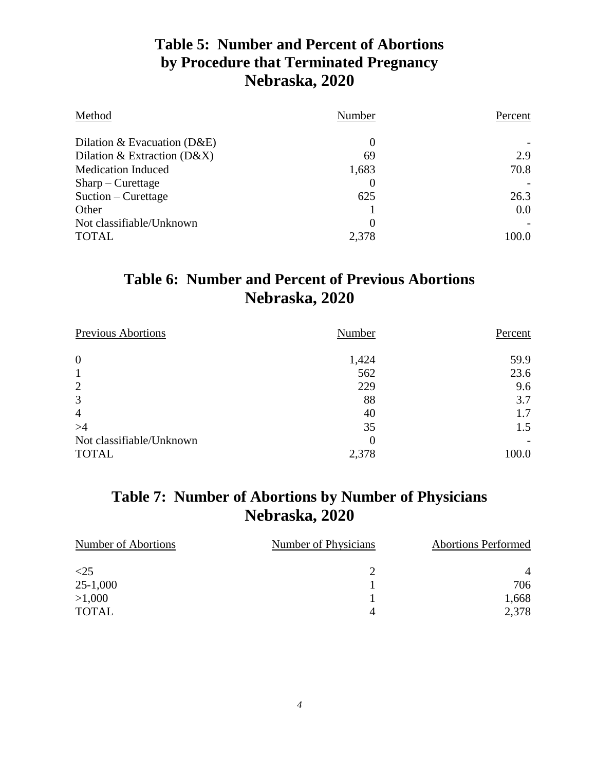#### **Table 5: Number and Percent of Abortions by Procedure that Terminated Pregnancy Nebraska, 2020**

| Method                        | Number         | Percent |  |
|-------------------------------|----------------|---------|--|
| Dilation & Evacuation $(D&E)$ | $\theta$       |         |  |
| Dilation & Extraction $(D&X)$ | 69             | 2.9     |  |
| <b>Medication Induced</b>     | 1,683          | 70.8    |  |
| $Sharp-Curestage$             | $\theta$       |         |  |
| Suction – Curettage           | 625            | 26.3    |  |
| Other                         |                | 0.0     |  |
| Not classifiable/Unknown      | $\overline{0}$ |         |  |
| <b>TOTAL</b>                  | 2,378          | 100.0   |  |

#### **Table 6: Number and Percent of Previous Abortions Nebraska, 2020**

| <b>Previous Abortions</b> | Number | Percent |
|---------------------------|--------|---------|
| $\overline{0}$            | 1,424  | 59.9    |
| $\mathbf{1}$              | 562    | 23.6    |
| 2                         | 229    | 9.6     |
| 3                         | 88     | 3.7     |
| $\overline{4}$            | 40     | 1.7     |
| >4                        | 35     | 1.5     |
| Not classifiable/Unknown  | 0      |         |
| <b>TOTAL</b>              | 2,378  | 100.0   |

#### **Table 7: Number of Abortions by Number of Physicians Nebraska, 2020**

| Number of Abortions | Number of Physicians | <b>Abortions Performed</b> |
|---------------------|----------------------|----------------------------|
| $\leq$ 25           |                      | 4                          |
| $25 - 1,000$        |                      | 706                        |
| >1,000              |                      | 1,668                      |
| <b>TOTAL</b>        |                      | 2,378                      |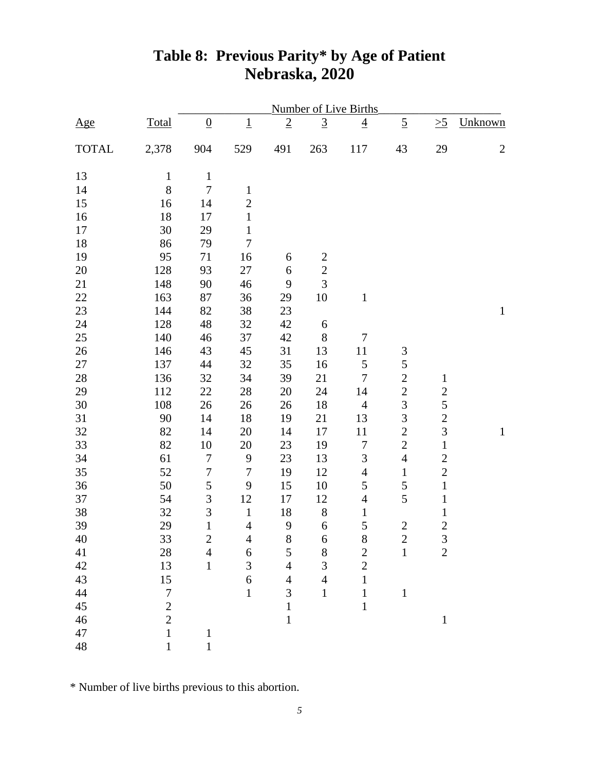|              |                  |                  |                  |                |                 | Number of Live Births |                |                |                |
|--------------|------------------|------------------|------------------|----------------|-----------------|-----------------------|----------------|----------------|----------------|
| Age          | <b>Total</b>     | $\overline{0}$   | $\underline{1}$  | $\overline{2}$ | $\underline{3}$ | $\overline{4}$        | $\overline{5}$ | $\geq 5$       | Unknown        |
| <b>TOTAL</b> | 2,378            | 904              | 529              | 491            | 263             | 117                   | 43             | 29             | $\overline{c}$ |
| 13           | $\mathbf{1}$     | $\mathbf{1}$     |                  |                |                 |                       |                |                |                |
| 14           | 8                | $\boldsymbol{7}$ | $\mathbf 1$      |                |                 |                       |                |                |                |
| 15           | 16               | 14               | $\overline{c}$   |                |                 |                       |                |                |                |
| 16           | 18               | 17               | $\,1$            |                |                 |                       |                |                |                |
| 17           | 30               | 29               | $\mathbf 1$      |                |                 |                       |                |                |                |
| 18           | 86               | 79               | $\boldsymbol{7}$ |                |                 |                       |                |                |                |
| 19           | 95               | 71               | 16               | 6              | $\overline{c}$  |                       |                |                |                |
| 20           | 128              | 93               | 27               | 6              | $\overline{c}$  |                       |                |                |                |
| 21           | 148              | 90               | 46               | 9              | 3               |                       |                |                |                |
| 22           | 163              | 87               | 36               | 29             | 10              | $\mathbf{1}$          |                |                |                |
| 23           | 144              | 82               | 38               | 23             |                 |                       |                |                | $\mathbf{1}$   |
| 24           | 128              | 48               | 32               | 42             | 6               |                       |                |                |                |
| $25\,$       | 140              | 46               | 37               | 42             | $8\,$           | $\boldsymbol{7}$      |                |                |                |
| $26\,$       | 146              | 43               | 45               | 31             | 13              | 11                    | $\mathfrak{Z}$ |                |                |
| 27           | 137              | 44               | 32               | 35             | 16              | 5                     | 5              |                |                |
| $28\,$       | 136              | 32               | 34               | 39             | 21              | $\boldsymbol{7}$      | $\overline{c}$ | $\mathbf{1}$   |                |
| 29           | 112              | 22               | 28               | 20             | 24              | 14                    | $\overline{c}$ | $\overline{c}$ |                |
| $30\,$       | 108              | 26               | 26               | 26             | 18              | $\overline{4}$        | $\overline{3}$ | 5              |                |
| 31           | 90               | 14               | 18               | 19             | 21              | 13                    | $\overline{3}$ | $\overline{c}$ |                |
| 32           | 82               | 14               | 20               | 14             | 17              | 11                    | $\overline{2}$ | $\overline{3}$ | $\mathbf 1$    |
| 33           | 82               | 10               | 20               | 23             | 19              | $\boldsymbol{7}$      | $\overline{2}$ | $\,1\,$        |                |
| 34           | 61               | $\boldsymbol{7}$ | $\boldsymbol{9}$ | 23             | 13              | $\mathfrak{Z}$        | $\overline{4}$ | $\overline{c}$ |                |
| 35           | 52               | $\boldsymbol{7}$ | $\boldsymbol{7}$ | 19             | 12              | $\overline{4}$        | $\mathbf{1}$   | $\overline{c}$ |                |
| 36           | 50               | 5                | $\boldsymbol{9}$ | 15             | 10              | 5                     | 5              | $\mathbf 1$    |                |
| 37           | 54               | 3                | 12               | 17             | 12              | $\overline{4}$        | 5              | $\,1\,$        |                |
| 38           | 32               | 3                | $\,1\,$          | 18             | $8\,$           | $\mathbf 1$           |                | $\mathbf{1}$   |                |
| 39           | 29               | $\mathbf{1}$     | $\overline{4}$   | 9              | $\sqrt{6}$      | 5                     | $\mathbf{2}$   | $\overline{c}$ |                |
| 40           | 33               | $\overline{c}$   | 4                | $8\,$          | 6               | $8\,$                 | $\overline{c}$ | $\mathfrak{Z}$ |                |
| 41           | $28\,$           | $\overline{4}$   | 6                | $\mathfrak{S}$ | $8\,$           | $\mathbf{2}$          | $\mathbf{1}$   | $\overline{2}$ |                |
| 42           | 13               | $\mathbf{1}$     | 3                | $\overline{4}$ | 3               | $\overline{2}$        |                |                |                |
| 43           | 15               |                  | 6                | $\overline{4}$ | $\overline{4}$  | $\mathbf{1}$          |                |                |                |
| $44$         | $\boldsymbol{7}$ |                  | $\mathbf{1}$     | $\overline{3}$ | $1\,$           | $\mathbf 1$           | $\mathbf{1}$   |                |                |
| 45           | $\overline{c}$   |                  |                  | $\mathbf{1}$   |                 | $\mathbf{1}$          |                |                |                |
| 46           | $\overline{2}$   |                  |                  | $\mathbf{1}$   |                 |                       |                | $\mathbf{1}$   |                |
| 47           | $\mathbf{1}$     | $\mathbf{1}$     |                  |                |                 |                       |                |                |                |
| 48           | $\mathbf{1}$     | $\mathbf{1}$     |                  |                |                 |                       |                |                |                |

## **Table 8: Previous Parity\* by Age of Patient Nebraska, 2020**

\* Number of live births previous to this abortion.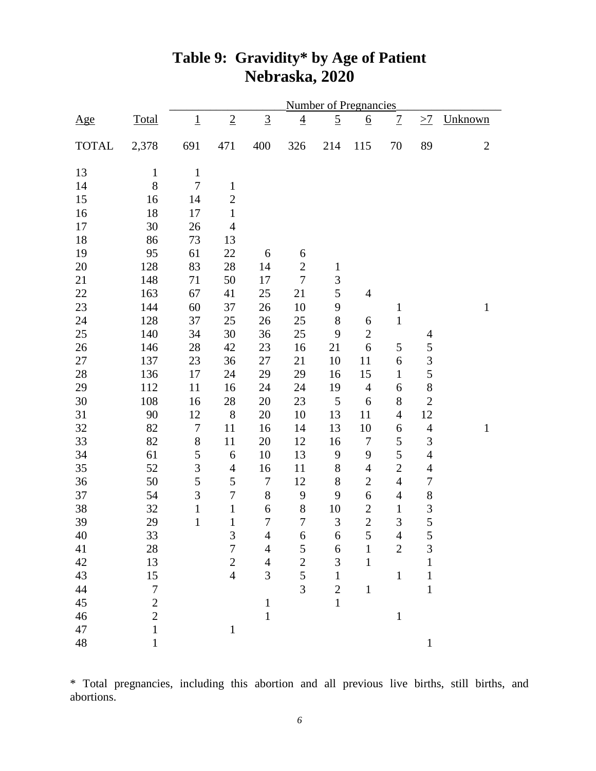|              |                  |                  |                  |                  |                  | <b>Number of Pregnancies</b> |                  |                |                          |                |
|--------------|------------------|------------------|------------------|------------------|------------------|------------------------------|------------------|----------------|--------------------------|----------------|
| <u>Age</u>   | <b>Total</b>     | $\overline{1}$   | $\overline{2}$   | $\underline{3}$  | $\overline{4}$   | $\overline{5}$               | <u>6</u>         | $\overline{1}$ | $\geq$ <sup>7</sup>      | Unknown        |
| <b>TOTAL</b> | 2,378            | 691              | 471              | 400              | 326              | 214                          | 115              | 70             | 89                       | $\overline{2}$ |
| 13           | $\mathbf{1}$     | $\,1$            |                  |                  |                  |                              |                  |                |                          |                |
| 14           | $8\,$            | $\boldsymbol{7}$ | $\mathbf 1$      |                  |                  |                              |                  |                |                          |                |
| 15           | 16               | 14               | $\overline{c}$   |                  |                  |                              |                  |                |                          |                |
| 16           | 18               | 17               | $\mathbf 1$      |                  |                  |                              |                  |                |                          |                |
| 17           | 30               | 26               | $\overline{4}$   |                  |                  |                              |                  |                |                          |                |
| 18           | 86               | 73               | 13               |                  |                  |                              |                  |                |                          |                |
| 19           | 95               | 61               | 22               | 6                | 6                |                              |                  |                |                          |                |
| 20           | 128              | 83               | 28               | 14               | $\overline{2}$   | $\mathbf{1}$                 |                  |                |                          |                |
| 21           | 148              | 71               | 50               | 17               | $\boldsymbol{7}$ | 3                            |                  |                |                          |                |
| 22           | 163              | 67               | 41               | 25               | 21               | 5                            | $\overline{4}$   |                |                          |                |
| 23           | 144              | 60               | 37               | 26               | 10               | 9                            |                  | $\mathbf{1}$   |                          | $\mathbf{1}$   |
| 24           | 128              | 37               | 25               | 26               | 25               | $8\,$                        | 6                | $\,1$          |                          |                |
| 25           | 140              | 34               | 30               | 36               | 25               | 9                            | $\mathbf{2}$     |                | $\overline{\mathcal{A}}$ |                |
| 26           | 146              | 28               | 42               | 23               | 16               | 21                           | 6                | 5              | 5                        |                |
| 27           | 137              | 23               | 36               | 27               | 21               | 10                           | 11               | 6              | 3                        |                |
| 28           | 136              | 17               | 24               | 29               | 29               | 16                           | 15               | $\mathbf{1}$   | 5                        |                |
| 29           | 112              | 11               | 16               | 24               | 24               | 19                           | $\overline{4}$   | 6              | $\,$ 8 $\,$              |                |
| $30\,$       | 108              | 16               | 28               | 20               | 23               | $\mathfrak s$                | $\boldsymbol{6}$ | $8\,$          | $\overline{2}$           |                |
| 31           | 90               | 12               | 8                | 20               | 10               | 13                           | 11               | $\overline{4}$ | 12                       |                |
| 32           | 82               | $\boldsymbol{7}$ | 11               | 16               | 14               | 13                           | 10               | 6              | $\overline{4}$           | $\mathbf{1}$   |
| 33           | 82               | $8\,$            | 11               | 20               | 12               | 16                           | $\boldsymbol{7}$ | 5              | 3                        |                |
| 34           | 61               | 5                | $\sqrt{6}$       | 10               | 13               | 9                            | 9                | 5              | $\overline{4}$           |                |
| 35           | 52               | 3                | $\overline{4}$   | 16               | 11               | $8\,$                        | $\overline{4}$   | $\overline{2}$ | $\overline{4}$           |                |
| 36           | 50               | 5                | 5                | $\boldsymbol{7}$ | 12               | $8\,$                        | $\mathbf{2}$     | $\overline{4}$ | $\overline{7}$           |                |
| 37           | 54               | $\mathfrak{Z}$   | $\boldsymbol{7}$ | $8\,$            | 9                | 9                            | 6                | $\overline{4}$ | 8                        |                |
| 38           | 32               | $\,1\,$          | $\,1\,$          | 6                | $\,8$            | 10                           | $\mathbf{2}$     | $\mathbf{1}$   | 3                        |                |
| 39           | 29               | $\mathbf{1}$     | $\mathbf{1}$     | $\boldsymbol{7}$ | $\overline{7}$   | 3                            | $\overline{2}$   | $\overline{3}$ | 5                        |                |
| 40           | 33               |                  | 3                | $\overline{4}$   | 6                | 6                            | $\mathfrak{S}$   | $\overline{4}$ | 5                        |                |
| 41           | $28\,$           |                  | $\overline{7}$   | $\overline{4}$   | 5                | 6                            | $\mathbf{1}$     | $\overline{2}$ | 3                        |                |
| 42           | 13               |                  | $\overline{2}$   | $\overline{4}$   | $\overline{c}$   | 3                            | $\mathbf{1}$     |                | $\mathbf{1}$             |                |
| 43           | 15               |                  | $\overline{4}$   | 3                | 5                | $\mathbf 1$                  |                  | $\mathbf{1}$   | $\mathbf{1}$             |                |
| $44$         | $\boldsymbol{7}$ |                  |                  |                  | $\overline{3}$   | $\overline{2}$               | $\mathbf{1}$     |                | $\mathbf{1}$             |                |
| 45           | $\overline{2}$   |                  |                  | $1\,$            |                  | $\mathbf{1}$                 |                  |                |                          |                |
| 46           | $\overline{2}$   |                  |                  | $\mathbf{1}$     |                  |                              |                  | $\,1\,$        |                          |                |
| $47\,$       | $\mathbf{1}$     |                  | $\,1\,$          |                  |                  |                              |                  |                |                          |                |
| 48           | $\mathbf{1}$     |                  |                  |                  |                  |                              |                  |                | $\mathbf{1}$             |                |

## **Table 9: Gravidity\* by Age of Patient Nebraska, 2020**

\* Total pregnancies, including this abortion and all previous live births, still births, and abortions.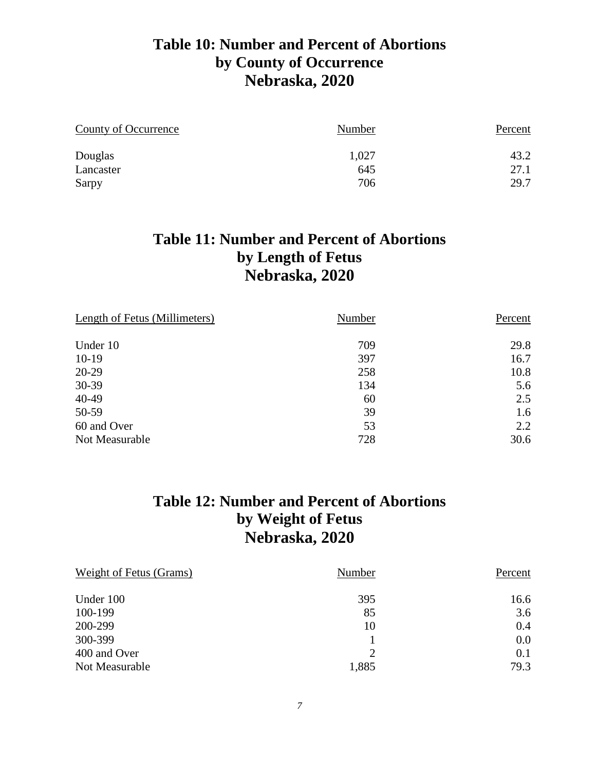#### **Table 10: Number and Percent of Abortions by County of Occurrence Nebraska, 2020**

| County of Occurrence | Number | Percent |
|----------------------|--------|---------|
| Douglas              | 1,027  | 43.2    |
| Lancaster            | 645    | 27.1    |
| Sarpy                | 706    | 29.7    |

#### **Table 11: Number and Percent of Abortions by Length of Fetus Nebraska, 2020**

| Length of Fetus (Millimeters) | Number | Percent |
|-------------------------------|--------|---------|
| Under 10                      | 709    | 29.8    |
| $10-19$                       | 397    | 16.7    |
| 20-29                         | 258    | 10.8    |
| 30-39                         | 134    | 5.6     |
| 40-49                         | 60     | 2.5     |
| 50-59                         | 39     | 1.6     |
| 60 and Over                   | 53     | 2.2     |
| Not Measurable                | 728    | 30.6    |

#### **Table 12: Number and Percent of Abortions by Weight of Fetus Nebraska, 2020**

| <b>Weight of Fetus (Grams)</b> | Number        | Percent |
|--------------------------------|---------------|---------|
| Under 100                      | 395           | 16.6    |
| 100-199                        | 85            | 3.6     |
| 200-299                        | 10            | 0.4     |
| 300-399                        |               | 0.0     |
| 400 and Over                   | $\mathcal{D}$ | 0.1     |
| Not Measurable                 | 1,885         | 79.3    |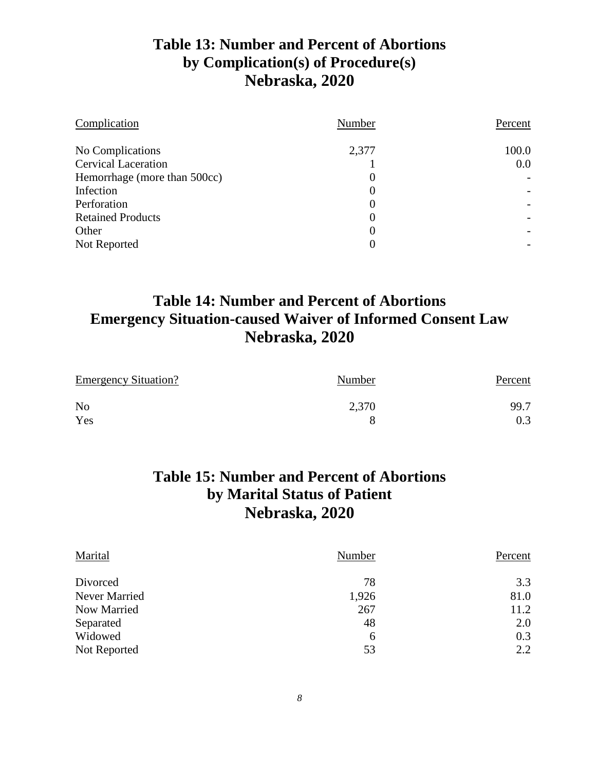#### **Table 13: Number and Percent of Abortions by Complication(s) of Procedure(s) Nebraska, 2020**

| Complication                 | Number         | Percent |
|------------------------------|----------------|---------|
| No Complications             | 2,377          | 100.0   |
| <b>Cervical Laceration</b>   |                | 0.0     |
| Hemorrhage (more than 500cc) | 0              |         |
| Infection                    | 0              |         |
| Perforation                  | 0              |         |
| <b>Retained Products</b>     | $\overline{0}$ |         |
| Other                        | 0              |         |
| Not Reported                 | 0              |         |

#### **Table 14: Number and Percent of Abortions Emergency Situation-caused Waiver of Informed Consent Law Nebraska, 2020**

| <b>Emergency Situation?</b> | Number | Percent |
|-----------------------------|--------|---------|
| N <sub>o</sub>              | 2,370  | 99.7    |
| Yes                         |        | 0.3     |

#### **Table 15: Number and Percent of Abortions by Marital Status of Patient Nebraska, 2020**

| Marital       | Number | Percent |
|---------------|--------|---------|
| Divorced      | 78     | 3.3     |
| Never Married | 1,926  | 81.0    |
| Now Married   | 267    | 11.2    |
| Separated     | 48     | 2.0     |
| Widowed       | 6      | 0.3     |
| Not Reported  | 53     | 2.2     |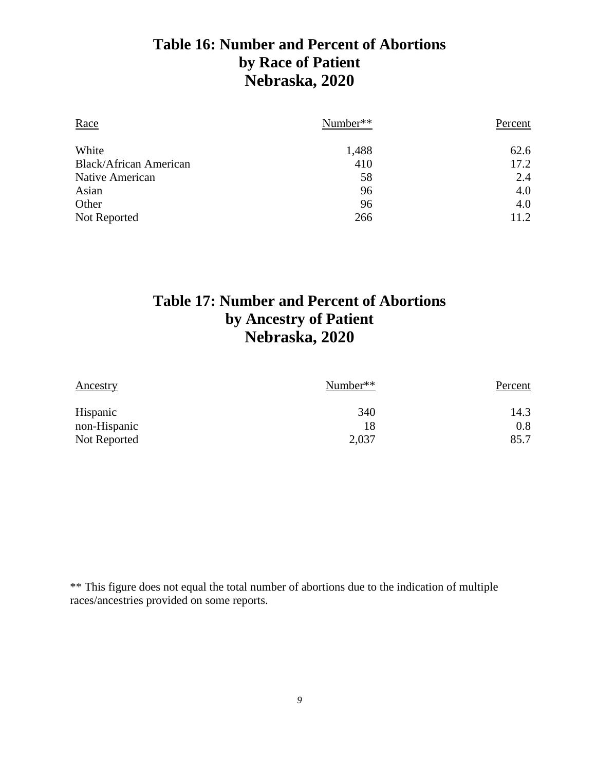#### **Table 16: Number and Percent of Abortions by Race of Patient Nebraska, 2020**

| Race                          | Number** | Percent |
|-------------------------------|----------|---------|
| White                         | 1,488    | 62.6    |
| <b>Black/African American</b> | 410      | 17.2    |
| Native American               | 58       | 2.4     |
| Asian                         | 96       | 4.0     |
| Other                         | 96       | 4.0     |
| Not Reported                  | 266      | 11.2    |

#### **Table 17: Number and Percent of Abortions by Ancestry of Patient Nebraska, 2020**

| Ancestry     | Number** | Percent |
|--------------|----------|---------|
| Hispanic     | 340      | 14.3    |
| non-Hispanic | 18       | 0.8     |
| Not Reported | 2,037    | 85.7    |

\*\* This figure does not equal the total number of abortions due to the indication of multiple races/ancestries provided on some reports.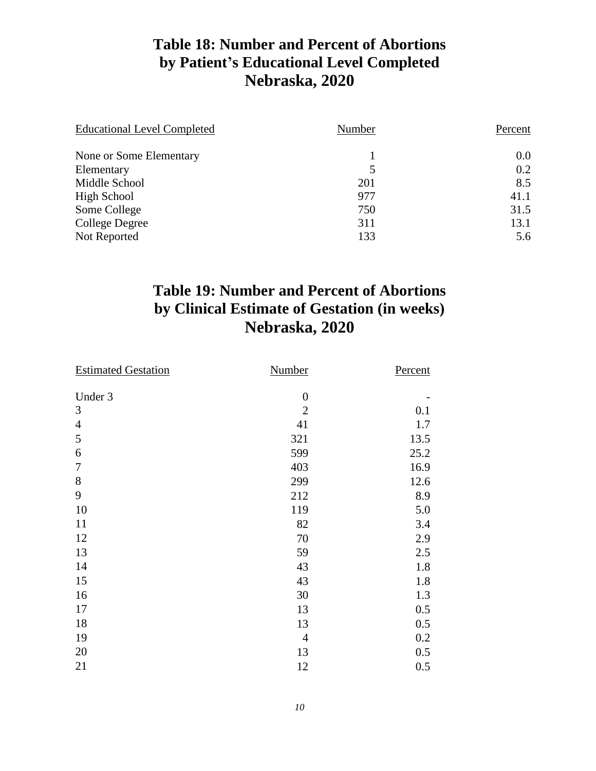#### **Table 18: Number and Percent of Abortions by Patient's Educational Level Completed Nebraska, 2020**

| <b>Educational Level Completed</b> | Number | Percent |
|------------------------------------|--------|---------|
| None or Some Elementary            |        | 0.0     |
| Elementary                         | 5      | 0.2     |
| Middle School                      | 201    | 8.5     |
| High School                        | 977    | 41.1    |
| Some College                       | 750    | 31.5    |
| College Degree                     | 311    | 13.1    |
| Not Reported                       | 133    | 5.6     |

#### **Table 19: Number and Percent of Abortions by Clinical Estimate of Gestation (in weeks) Nebraska, 2020**

| <b>Estimated Gestation</b> | Number           | Percent |
|----------------------------|------------------|---------|
|                            |                  |         |
| Under 3                    | $\boldsymbol{0}$ |         |
| 3                          | $\overline{2}$   | 0.1     |
| $\overline{4}$             | 41               | 1.7     |
| 5                          | 321              | 13.5    |
| 6                          | 599              | 25.2    |
| $\tau$                     | 403              | 16.9    |
| $8\,$                      | 299              | 12.6    |
| 9                          | 212              | 8.9     |
| 10                         | 119              | 5.0     |
| 11                         | 82               | 3.4     |
| 12                         | 70               | 2.9     |
| 13                         | 59               | 2.5     |
| 14                         | 43               | 1.8     |
| 15                         | 43               | 1.8     |
| 16                         | 30               | 1.3     |
| 17                         | 13               | 0.5     |
| 18                         | 13               | 0.5     |
| 19                         | $\overline{4}$   | 0.2     |
| 20                         | 13               | 0.5     |
| 21                         | 12               | 0.5     |
|                            |                  |         |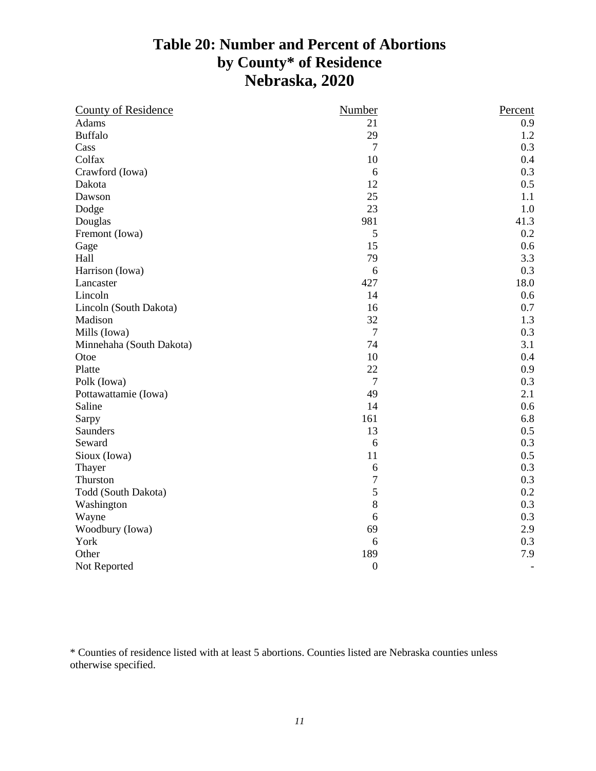#### **Table 20: Number and Percent of Abortions by County\* of Residence Nebraska, 2020**

| <b>County of Residence</b> | Number           | Percent |
|----------------------------|------------------|---------|
| Adams                      | 21               | 0.9     |
| <b>Buffalo</b>             | 29               | 1.2     |
| Cass                       | $\overline{7}$   | 0.3     |
| Colfax                     | 10               | 0.4     |
| Crawford (Iowa)            | 6                | 0.3     |
| Dakota                     | 12               | 0.5     |
| Dawson                     | 25               | 1.1     |
| Dodge                      | 23               | 1.0     |
| Douglas                    | 981              | 41.3    |
| Fremont (Iowa)             | 5                | 0.2     |
| Gage                       | 15               | 0.6     |
| Hall                       | 79               | 3.3     |
| Harrison (Iowa)            | 6                | 0.3     |
| Lancaster                  | 427              | 18.0    |
| Lincoln                    | 14               | 0.6     |
| Lincoln (South Dakota)     | 16               | 0.7     |
| Madison                    | 32               | 1.3     |
| Mills (Iowa)               | $\overline{7}$   | 0.3     |
| Minnehaha (South Dakota)   | 74               | 3.1     |
| Otoe                       | 10               | 0.4     |
| Platte                     | 22               | 0.9     |
| Polk (Iowa)                | $\overline{7}$   | 0.3     |
| Pottawattamie (Iowa)       | 49               | 2.1     |
| Saline                     | 14               | 0.6     |
| Sarpy                      | 161              | 6.8     |
| Saunders                   | 13               | 0.5     |
| Seward                     | 6                | 0.3     |
| Sioux (Iowa)               | 11               | 0.5     |
| Thayer                     | 6                | 0.3     |
| Thurston                   | 7                | 0.3     |
| Todd (South Dakota)        | 5                | 0.2     |
| Washington                 | 8                | 0.3     |
| Wayne                      | 6                | 0.3     |
| Woodbury (Iowa)            | 69               | 2.9     |
| York                       | 6                | 0.3     |
| Other                      | 189              | 7.9     |
| Not Reported               | $\boldsymbol{0}$ |         |

\* Counties of residence listed with at least 5 abortions. Counties listed are Nebraska counties unless otherwise specified.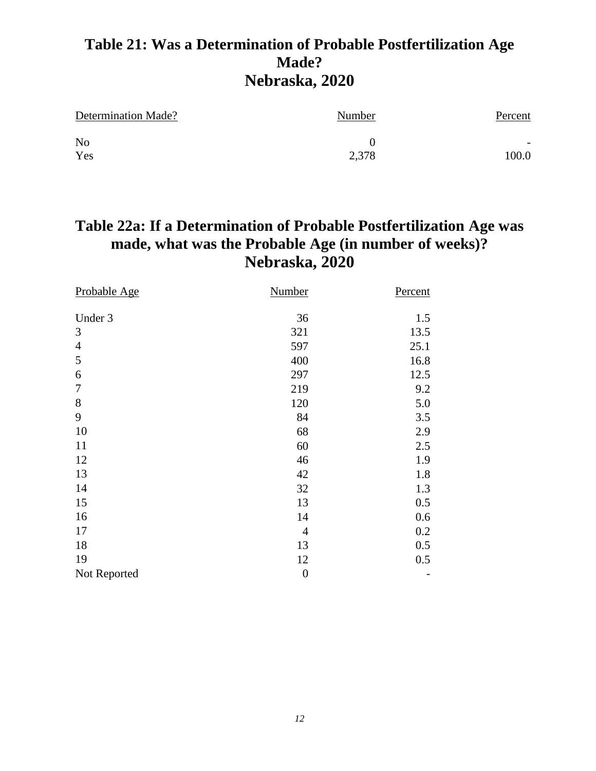### **Table 21: Was a Determination of Probable Postfertilization Age Made? Nebraska, 2020**

| Determination Made? | Number | Percent                  |
|---------------------|--------|--------------------------|
| N <sub>o</sub>      |        | $\overline{\phantom{0}}$ |
| Yes                 | 2,378  | 100.0                    |

### **Table 22a: If a Determination of Probable Postfertilization Age was made, what was the Probable Age (in number of weeks)? Nebraska, 2020**

| Probable Age     | <b>Number</b>    | Percent |
|------------------|------------------|---------|
| Under 3          | 36               | 1.5     |
| 3                | 321              | 13.5    |
| $\overline{4}$   | 597              | 25.1    |
| 5                | 400              | 16.8    |
| 6                | 297              | 12.5    |
| $\boldsymbol{7}$ | 219              | 9.2     |
| $8\,$            | 120              | 5.0     |
| 9                | 84               | 3.5     |
| 10               | 68               | 2.9     |
| 11               | 60               | 2.5     |
| 12               | 46               | 1.9     |
| 13               | 42               | 1.8     |
| 14               | 32               | 1.3     |
| 15               | 13               | 0.5     |
| 16               | 14               | 0.6     |
| 17               | $\overline{4}$   | 0.2     |
| 18               | 13               | 0.5     |
| 19               | 12               | 0.5     |
| Not Reported     | $\boldsymbol{0}$ |         |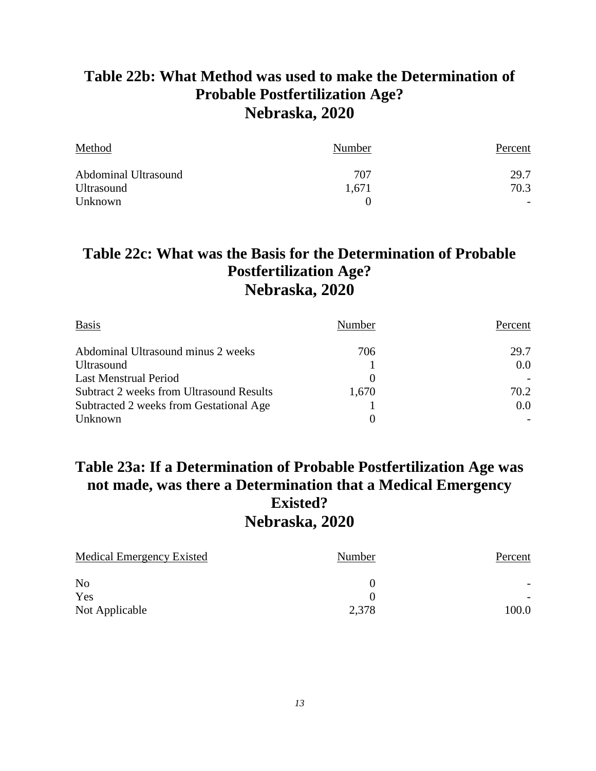#### **Table 22b: What Method was used to make the Determination of Probable Postfertilization Age? Nebraska, 2020**

| Method               | Number | Percent |
|----------------------|--------|---------|
| Abdominal Ultrasound | 707    | 29.7    |
| <b>Ultrasound</b>    | 1,671  | 70.3    |
| Unknown              |        |         |

#### **Table 22c: What was the Basis for the Determination of Probable Postfertilization Age? Nebraska, 2020**

| <b>Basis</b>                                    | Number   | Percent |
|-------------------------------------------------|----------|---------|
| Abdominal Ultrasound minus 2 weeks              | 706      | 29.7    |
| <b>Ultrasound</b>                               |          | 0.0     |
| <b>Last Menstrual Period</b>                    | $\theta$ |         |
| <b>Subtract 2 weeks from Ultrasound Results</b> | 1,670    | 70.2    |
| Subtracted 2 weeks from Gestational Age         |          | 0.0     |
| Unknown                                         | $\Omega$ |         |

#### **Table 23a: If a Determination of Probable Postfertilization Age was not made, was there a Determination that a Medical Emergency Existed? Nebraska, 2020**

| Medical Emergency Existed | Number | Percent |
|---------------------------|--------|---------|
| N <sub>o</sub>            | 0      |         |
| Yes                       |        |         |
| Not Applicable            | 2,378  | 100.0   |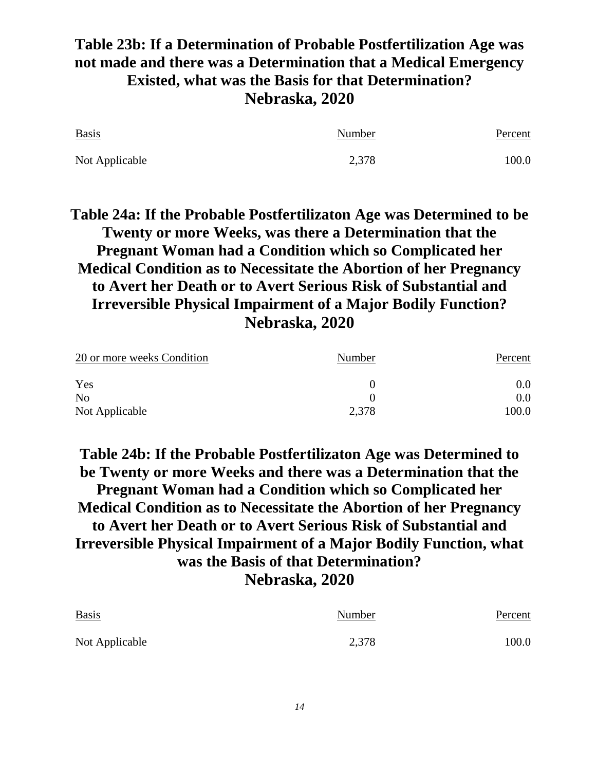#### **Table 23b: If a Determination of Probable Postfertilization Age was not made and there was a Determination that a Medical Emergency Existed, what was the Basis for that Determination? Nebraska, 2020**

| <b>Basis</b>   | Number | Percent |
|----------------|--------|---------|
| Not Applicable | 2,378  | 100.0   |

**Table 24a: If the Probable Postfertilizaton Age was Determined to be Twenty or more Weeks, was there a Determination that the Pregnant Woman had a Condition which so Complicated her Medical Condition as to Necessitate the Abortion of her Pregnancy to Avert her Death or to Avert Serious Risk of Substantial and Irreversible Physical Impairment of a Major Bodily Function? Nebraska, 2020**

| 20 or more weeks Condition | Number | Percent |
|----------------------------|--------|---------|
| Yes                        |        | 0.0     |
| N <sub>o</sub>             |        | 0.0     |
| Not Applicable             | 2,378  | 100.0   |

**Table 24b: If the Probable Postfertilizaton Age was Determined to be Twenty or more Weeks and there was a Determination that the Pregnant Woman had a Condition which so Complicated her Medical Condition as to Necessitate the Abortion of her Pregnancy to Avert her Death or to Avert Serious Risk of Substantial and Irreversible Physical Impairment of a Major Bodily Function, what was the Basis of that Determination? Nebraska, 2020**

Basis Percent Number Percent Not Applicable 2,378 100.0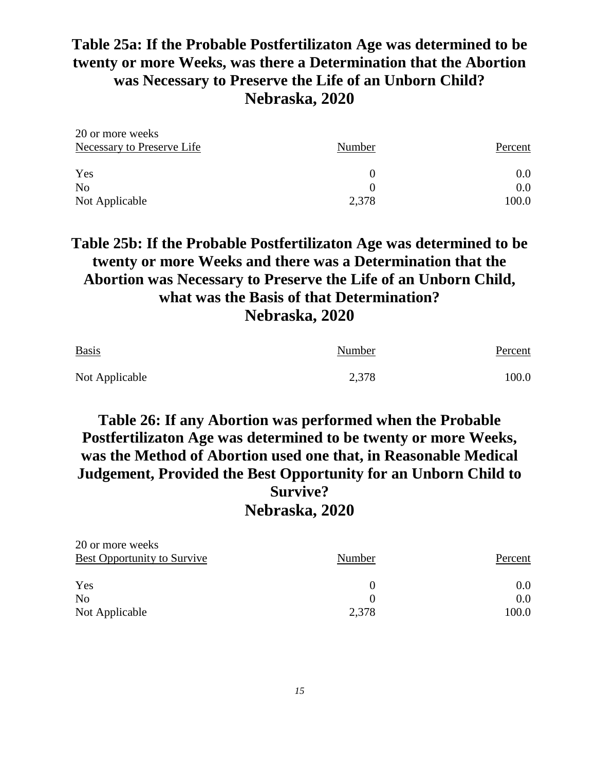#### **Table 25a: If the Probable Postfertilizaton Age was determined to be twenty or more Weeks, was there a Determination that the Abortion was Necessary to Preserve the Life of an Unborn Child? Nebraska, 2020**

| 20 or more weeks           |        |         |
|----------------------------|--------|---------|
| Necessary to Preserve Life | Number | Percent |
| Yes                        |        | 0.0     |
| N <sub>o</sub>             |        | 0.0     |
| Not Applicable             | 2,378  | 100.0   |

#### **Table 25b: If the Probable Postfertilizaton Age was determined to be twenty or more Weeks and there was a Determination that the Abortion was Necessary to Preserve the Life of an Unborn Child, what was the Basis of that Determination? Nebraska, 2020**

| <b>Basis</b>   | Number | Percent |
|----------------|--------|---------|
| Not Applicable | 2,378  | 100.0   |

#### **Table 26: If any Abortion was performed when the Probable Postfertilizaton Age was determined to be twenty or more Weeks, was the Method of Abortion used one that, in Reasonable Medical Judgement, Provided the Best Opportunity for an Unborn Child to Survive? Nebraska, 2020**

| 20 or more weeks                   |        |         |
|------------------------------------|--------|---------|
| <b>Best Opportunity to Survive</b> | Number | Percent |
| Yes                                |        | 0.0     |
| No                                 |        | 0.0     |
| Not Applicable                     | 2,378  | 100.0   |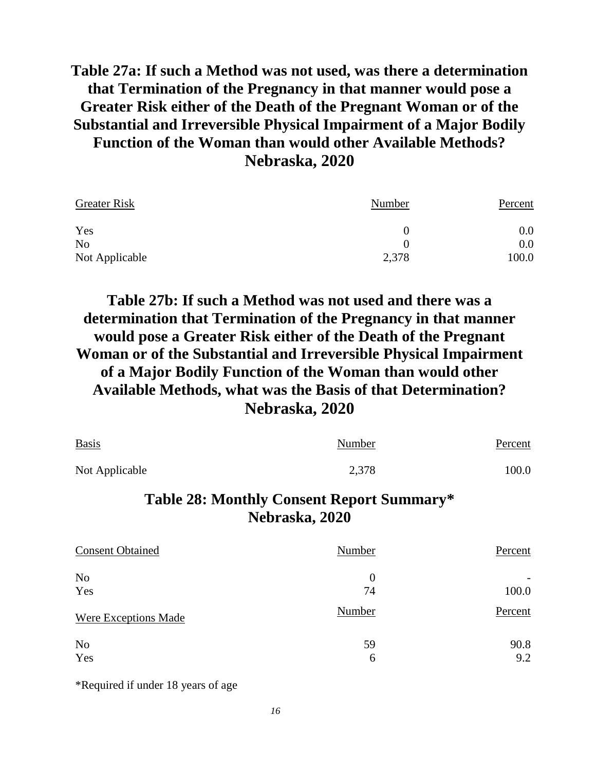#### **Table 27a: If such a Method was not used, was there a determination that Termination of the Pregnancy in that manner would pose a Greater Risk either of the Death of the Pregnant Woman or of the Substantial and Irreversible Physical Impairment of a Major Bodily Function of the Woman than would other Available Methods? Nebraska, 2020**

| <b>Greater Risk</b> | Number   | Percent |  |
|---------------------|----------|---------|--|
| Yes                 | $\theta$ | 0.0     |  |
| N <sub>o</sub>      | 0        | 0.0     |  |
| Not Applicable      | 2,378    | 100.0   |  |

**Table 27b: If such a Method was not used and there was a determination that Termination of the Pregnancy in that manner would pose a Greater Risk either of the Death of the Pregnant Woman or of the Substantial and Irreversible Physical Impairment of a Major Bodily Function of the Woman than would other Available Methods, what was the Basis of that Determination? Nebraska, 2020**

| <b>Basis</b>   | Number | Percent |
|----------------|--------|---------|
| Not Applicable | 2,378  | 100.0   |

#### **Table 28: Monthly Consent Report Summary\* Nebraska, 2020**

| <b>Consent Obtained</b> | Number         | Percent |
|-------------------------|----------------|---------|
| N <sub>o</sub>          | $\overline{0}$ |         |
| Yes                     | 74             | 100.0   |
| Were Exceptions Made    | Number         | Percent |
| N <sub>o</sub>          | 59             | 90.8    |
| Yes                     | 6              | 9.2     |

\*Required if under 18 years of age